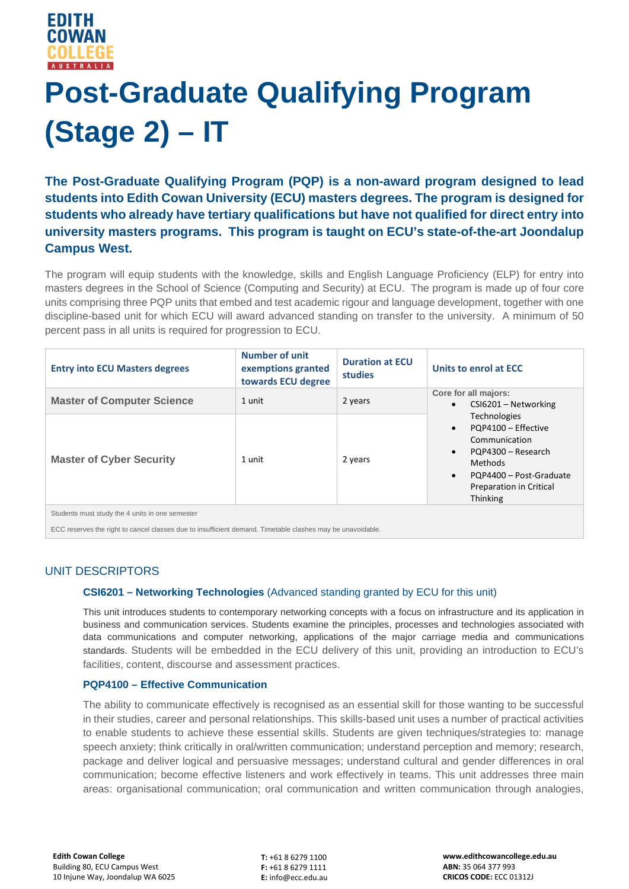

# **Post-Graduate Qualifying Program (Stage 2) – IT**

**The Post-Graduate Qualifying Program (PQP) is a non-award program designed to lead students into Edith Cowan University (ECU) masters degrees. The program is designed for students who already have tertiary qualifications but have not qualified for direct entry into university masters programs. This program is taught on ECU's state-of-the-art Joondalup Campus West.**

The program will equip students with the knowledge, skills and English Language Proficiency (ELP) for entry into masters degrees in the School of Science (Computing and Security) at ECU. The program is made up of four core units comprising three PQP units that embed and test academic rigour and language development, together with one discipline-based unit for which ECU will award advanced standing on transfer to the university. A minimum of 50 percent pass in all units is required for progression to ECU.

| <b>Entry into ECU Masters degrees</b>           | <b>Number of unit</b><br>exemptions granted<br>towards ECU degree | <b>Duration at ECU</b><br>studies | Units to enrol at ECC                                                                                                                                                                                                                                                     |
|-------------------------------------------------|-------------------------------------------------------------------|-----------------------------------|---------------------------------------------------------------------------------------------------------------------------------------------------------------------------------------------------------------------------------------------------------------------------|
| <b>Master of Computer Science</b>               | 1 unit                                                            | 2 years                           | Core for all majors:<br>CSI6201 - Networking<br>$\bullet$<br><b>Technologies</b><br>PQP4100 - Effective<br>$\bullet$<br>Communication<br>PQP4300 - Research<br>$\bullet$<br><b>Methods</b><br>PQP4400 - Post-Graduate<br>$\bullet$<br>Preparation in Critical<br>Thinking |
| <b>Master of Cyber Security</b>                 | 1 unit                                                            | 2 years                           |                                                                                                                                                                                                                                                                           |
| Students must study the 4 units in one semester |                                                                   |                                   |                                                                                                                                                                                                                                                                           |

ECC reserves the right to cancel classes due to insufficient demand. Timetable clashes may be unavoidable.

## UNIT DESCRIPTORS

#### **CSI6201 – Networking Technologies** (Advanced standing granted by ECU for this unit)

This unit introduces students to contemporary networking concepts with a focus on infrastructure and its application in business and communication services. Students examine the principles, processes and technologies associated with data communications and computer networking, applications of the major carriage media and communications standards. Students will be embedded in the ECU delivery of this unit, providing an introduction to ECU's facilities, content, discourse and assessment practices.

#### **PQP4100 – Effective Communication**

The ability to communicate effectively is recognised as an essential skill for those wanting to be successful in their studies, career and personal relationships. This skills-based unit uses a number of practical activities to enable students to achieve these essential skills. Students are given techniques/strategies to: manage speech anxiety; think critically in oral/written communication; understand perception and memory; research, package and deliver logical and persuasive messages; understand cultural and gender differences in oral communication; become effective listeners and work effectively in teams. This unit addresses three main areas: organisational communication; oral communication and written communication through analogies,